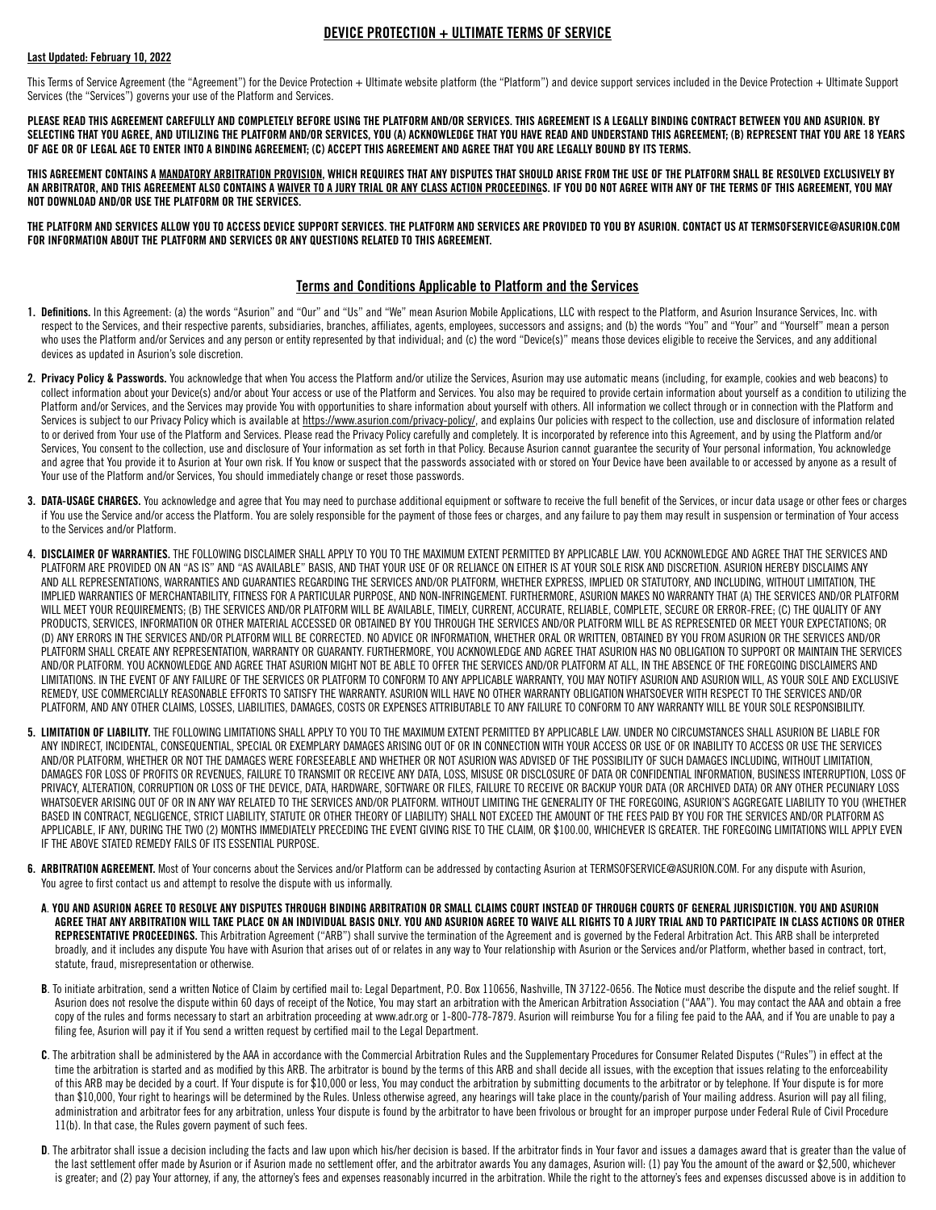## DEVICE PROTECTION + ULTIMATE TERMS OF SERVICE

### Last Updated: February 10, 2022

This Terms of Service Agreement (the "Agreement") for the Device Protection + Ultimate website platform (the "Platform") and device support services included in the Device Protection + Ultimate Support Services (the "Services") governs your use of the Platform and Services.

PLEASE READ THIS AGREEMENT CAREFULLY AND COMPLETELY BEFORE USING THE PLATFORM AND/OR SERVICES. THIS AGREEMENT IS A LEGALLY BINDING CONTRACT BETWEEN YOU AND ASURION. BY SELECTING THAT YOU AGREE, AND UTILIZING THE PLATFORM AND/OR SERVICES, YOU (A) ACKNOWLEDGE THAT YOU HAVE READ AND UNDERSTAND THIS AGREEMENT; (B) REPRESENT THAT YOU ARE 18 YEARS OF AGE OR OF LEGAL AGE TO ENTER INTO A BINDING AGREEMENT; (C) ACCEPT THIS AGREEMENT AND AGREE THAT YOU ARE LEGALLY BOUND BY ITS TERMS.

THIS AGREEMENT CONTAINS A MANDATORY ARBITRATION PROVISION, WHICH REQUIRES THAT ANY DISPUTES THAT SHOULD ARISE FROM THE USE OF THE PLATFORM SHALL BE RESOLVED EXCLUSIVELY BY AN ARBITRATOR, AND THIS AGREEMENT ALSO CONTAINS A WAIVER TO A JURY TRIAL OR ANY CLASS ACTION PROCEEDINGS. IF YOU DO NOT AGREE WITH ANY OF THE TERMS OF THIS AGREEMENT, YOU MAY NOT DOWNLOAD AND/OR USE THE PLATFORM OR THE SERVICES.

THE PLATFORM AND SERVICES ALLOW YOU TO ACCESS DEVICE SUPPORT SERVICES. THE PLATFORM AND SERVICES ARE PROVIDED TO YOU BY ASURION. CONTACT US AT TERMSOFSERVICE@ASURION.COM FOR INFORMATION ABOUT THE PLATFORM AND SERVICES OR ANY QUESTIONS RELATED TO THIS AGREEMENT.

## Terms and Conditions Applicable to Platform and the Services

- 1. Definitions. In this Agreement: (a) the words "Asurion" and "Our" and "Us" and "We" mean Asurion Mobile Applications, LLC with respect to the Platform, and Asurion Insurance Services, Inc. with respect to the Services, and their respective parents, subsidiaries, branches, affiliates, agents, employees, successors and assigns; and (b) the words "You" and "Your" and "Yourself" mean a person who uses the Platform and/or Services and any person or entity represented by that individual; and (c) the word "Device(s)" means those devices eligible to receive the Services, and any additional devices as updated in Asurion's sole discretion.
- 2. Privacy Policy & Passwords. You acknowledge that when You access the Platform and/or utilize the Services, Asurion may use automatic means (including, for example, cookies and web beacons) to collect information about your Device(s) and/or about Your access or use of the Platform and Services. You also may be required to provide certain information about yourself as a condition to utilizing the Platform and/or Services, and the Services may provide You with opportunities to share information about yourself with others. All information we collect through or in connection with the Platform and Services is subject to our Privacy Policy which is available at<https://www.asurion.com/privacy-policy/>, and explains Our policies with respect to the collection, use and disclosure of information related to or derived from Your use of the Platform and Services. Please read the Privacy Policy carefully and completely. It is incorporated by reference into this Agreement, and by using the Platform and/or Services, You consent to the collection, use and disclosure of Your information as set forth in that Policy. Because Asurion cannot guarantee the security of Your personal information, You acknowledge and agree that You provide it to Asurion at Your own risk. If You know or suspect that the passwords associated with or stored on Your Device have been available to or accessed by anyone as a result of Your use of the Platform and/or Services, You should immediately change or reset those passwords.
- 3. DATA-USAGE CHARGES. You acknowledge and agree that You may need to purchase additional equipment or software to receive the full benefit of the Services, or incur data usage or other fees or charges if You use the Service and/or access the Platform. You are solely responsible for the payment of those fees or charges, and any failure to pay them may result in suspension or termination of Your access to the Services and/or Platform.
- 4. DISCLAIMER OF WARRANTIES. THE FOLLOWING DISCLAIMER SHALL APPLY TO YOU TO THE MAXIMUM EXTENT PERMITTED BY APPLICABLE LAW. YOU ACKNOWLEDGE AND AGREE THAT THE SERVICES AND PLATFORM ARE PROVIDED ON AN "AS IS" AND "AS AVAILABLE" BASIS, AND THAT YOUR USE OF OR RELIANCE ON EITHER IS AT YOUR SOLE RISK AND DISCRETION. ASURION HEREBY DISCLAIMS ANY AND ALL REPRESENTATIONS, WARRANTIES AND GUARANTIES REGARDING THE SERVICES AND/OR PLATFORM, WHETHER EXPRESS, IMPLIED OR STATUTORY, AND INCLUDING, WITHOUT LIMITATION, THE IMPLIED WARRANTIES OF MERCHANTABILITY, FITNESS FOR A PARTICULAR PURPOSE, AND NON-INFRINGEMENT. FURTHERMORE, ASURION MAKES NO WARRANTY THAT (A) THE SERVICES AND/OR PLATFORM WILL MEET YOUR REQUIREMENTS: (B) THE SERVICES AND/OR PLATFORM WILL BE AVAILABLE, TIMELY, CURRENT, ACCURATE, RELIABLE, COMPLETE, SECURE OR ERROR-FREE; (C) THE QUALITY OF ANY PRODUCTS, SERVICES, INFORMATION OR OTHER MATERIAL ACCESSED OR OBTAINED BY YOU THROUGH THE SERVICES AND/OR PLATFORM WILL BE AS REPRESENTED OR MEET YOUR EXPECTATIONS; OR (D) ANY ERRORS IN THE SERVICES AND/OR PLATFORM WILL BE CORRECTED. NO ADVICE OR INFORMATION, WHETHER ORAL OR WRITTEN, OBTAINED BY YOU FROM ASURION OR THE SERVICES AND/OR PLATFORM SHALL CREATE ANY REPRESENTATION, WARRANTY OR GUARANTY. FURTHERMORE, YOU ACKNOWLEDGE AND AGREE THAT ASURION HAS NO OBLIGATION TO SUPPORT OR MAINTAIN THE SERVICES AND/OR PLATFORM. YOU ACKNOWLEDGE AND AGREE THAT ASURION MIGHT NOT BE ABLE TO OFFER THE SERVICES AND/OR PLATFORM AT ALL, IN THE ABSENCE OF THE FOREGOING DISCLAIMERS AND LIMITATIONS. IN THE EVENT OF ANY FAILURE OF THE SERVICES OR PLATFORM TO CONFORM TO ANY APPLICABLE WARRANTY, YOU MAY NOTIFY ASURION AND ASURION WILL, AS YOUR SOLE AND EXCLUSIVE REMEDY, USE COMMERCIALLY REASONABLE EFFORTS TO SATISFY THE WARRANTY. ASURION WILL HAVE NO OTHER WARRANTY OBLIGATION WHATSOEVER WITH RESPECT TO THE SERVICES AND/OR PLATFORM, AND ANY OTHER CLAIMS, LOSSES, LIABILITIES, DAMAGES, COSTS OR EXPENSES ATTRIBUTABLE TO ANY FAILURE TO CONFORM TO ANY WARRANTY WILL BE YOUR SOLE RESPONSIBILITY.
- 5. LIMITATION OF LIABILITY. THE FOLLOWING LIMITATIONS SHALL APPLY TO YOU TO THE MAXIMUM EXTENT PERMITTED BY APPLICABLE LAW. UNDER NO CIRCUMSTANCES SHALL ASURION BE LIABLE FOR ANY INDIRECT, INCIDENTAL, CONSEQUENTIAL, SPECIAL OR EXEMPLARY DAMAGES ARISING OUT OF OR IN CONNECTION WITH YOUR ACCESS OR USE OF OR INABILITY TO ACCESS OR USE THE SERVICES AND/OR PLATFORM, WHETHER OR NOT THE DAMAGES WERE FORESEEABLE AND WHETHER OR NOT ASURION WAS ADVISED OF THE POSSIBILITY OF SUCH DAMAGES INCLUDING, WITHOUT LIMITATION, DAMAGES FOR LOSS OF PROFITS OR REVENUES, FAILURE TO TRANSMIT OR RECEIVE ANY DATA, LOSS, MISUSE OR DISCLOSURE OF DATA OR CONFIDENTIAL INFORMATION, BUSINESS INTERRUPTION, LOSS OF PRIVACY, ALTERATION, CORRUPTION OR LOSS OF THE DEVICE, DATA, HARDWARE, SOFTWARE OR FILES, FAILURE TO RECEIVE OR BACKUP YOUR DATA (OR ARCHIVED DATA) OR ANY OTHER PECUNIARY LOSS WHATSOEVER ARISING OUT OF OR IN ANY WAY RELATED TO THE SERVICES AND/OR PLATFORM. WITHOUT LIMITING THE GENERALITY OF THE FOREGOING, ASURION'S AGGREGATE LIABILITY TO YOU (WHETHER BASED IN CONTRACT, NEGLIGENCE, STRICT LIABILITY, STATUTE OR OTHER THEORY OF LIABILITY) SHALL NOT EXCEED THE AMOUNT OF THE FEES PAID BY YOU FOR THE SERVICES AND/OR PLATFORM AS APPLICABLE, IF ANY, DURING THE TWO (2) MONTHS IMMEDIATELY PRECEDING THE EVENT GIVING RISE TO THE CLAIM, OR \$100.00, WHICHEVER IS GREATER. THE FOREGOING LIMITATIONS WILL APPLY EVEN IF THE ABOVE STATED REMEDY FAILS OF ITS ESSENTIAL PURPOSE.
- 6. ARBITRATION AGREEMENT. Most of Your concerns about the Services and/or Platform can be addressed by contacting Asurion at TERMSOFSERVICE@ASURION.COM. For any dispute with Asurion, You agree to first contact us and attempt to resolve the dispute with us informally.
	- A. YOU AND ASURION AGREE TO RESOLVE ANY DISPUTES THROUGH BINDING ARBITRATION OR SMALL CLAIMS COURT INSTEAD OF THROUGH COURTS OF GENERAL JURISDICTION. YOU AND ASURION AGREE THAT ANY ARBITRATION WILL TAKE PLACE ON AN INDIVIDUAL BASIS ONLY. YOU AND ASURION AGREE TO WAIVE ALL RIGHTS TO A JURY TRIAL AND TO PARTICIPATE IN CLASS ACTIONS OR OTHER REPRESENTATIVE PROCEEDINGS. This Arbitration Agreement ("ARB") shall survive the termination of the Agreement and is governed by the Federal Arbitration Act. This ARB shall be interpreted broadly, and it includes any dispute You have with Asurion that arises out of or relates in any way to Your relationship with Asurion or the Services and/or Platform, whether based in contract, tort, statute, fraud, misrepresentation or otherwise.
	- B. To initiate arbitration, send a written Notice of Claim by certified mail to: Legal Department, P.O. Box 110656, Nashville, TN 37122-0656. The Notice must describe the dispute and the relief sought. If Asurion does not resolve the dispute within 60 days of receipt of the Notice, You may start an arbitration with the American Arbitration Association ("AAA"). You may contact the AAA and obtain a free copy of the rules and forms necessary to start an arbitration proceeding at www.adr.org or 1-800-778-7879. Asurion will reimburse You for a filing fee paid to the AAA, and if You are unable to pay a filing fee, Asurion will pay it if You send a written request by certified mail to the Legal Department.
	- C. The arbitration shall be administered by the AAA in accordance with the Commercial Arbitration Rules and the Supplementary Procedures for Consumer Related Disputes ("Rules") in effect at the time the arbitration is started and as modified by this ARB. The arbitrator is bound by the terms of this ARB and shall decide all issues, with the exception that issues relating to the enforceability of this ARB may be decided by a court. If Your dispute is for \$10,000 or less, You may conduct the arbitration by submitting documents to the arbitrator or by telephone. If Your dispute is for more than \$10,000, Your right to hearings will be determined by the Rules. Unless otherwise agreed, any hearings will take place in the county/parish of Your mailing address. Asurion will pay all filing, administration and arbitrator fees for any arbitration, unless Your dispute is found by the arbitrator to have been frivolous or brought for an improper purpose under Federal Rule of Civil Procedure 11(b). In that case, the Rules govern payment of such fees.
	- D. The arbitrator shall issue a decision including the facts and law upon which his/her decision is based. If the arbitrator finds in Your favor and issues a damages award that is greater than the value of the last settlement offer made by Asurion or if Asurion made no settlement offer, and the arbitrator awards You any damages, Asurion will: (1) pay You the amount of the award or \$2,500, whichever is greater; and (2) pay Your attorney, if any, the attorney's fees and expenses reasonably incurred in the arbitration. While the right to the attorney's fees and expenses discussed above is in addition to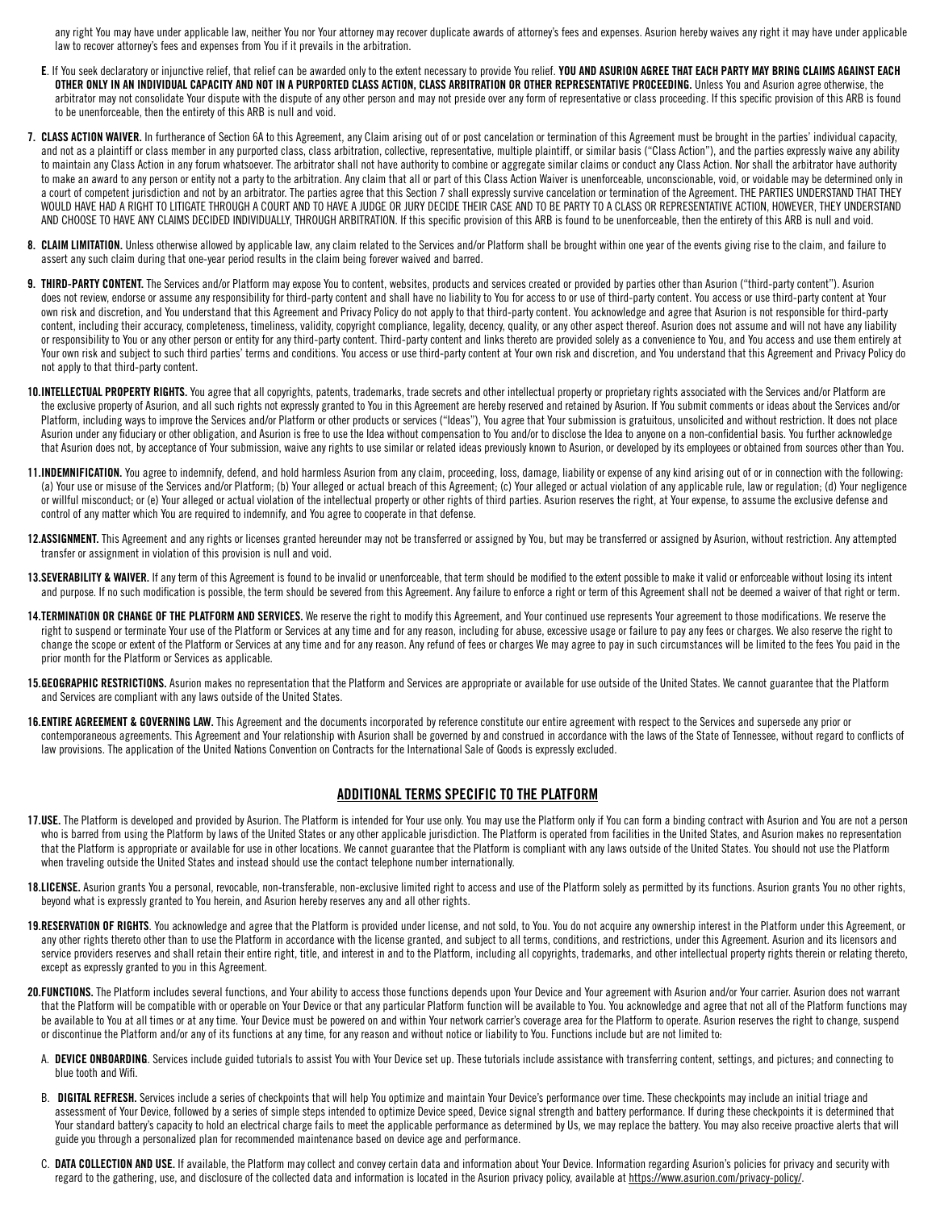any right You may have under applicable law, neither You nor Your attorney may recover duplicate awards of attorney's fees and expenses. Asurion hereby waives any right it may have under applicable law to recover attorney's fees and expenses from You if it prevails in the arbitration.

- E. If You seek declaratory or injunctive relief, that relief can be awarded only to the extent necessary to provide You relief. YOU AND ASURION AGREE THAT EACH PARTY MAY BRING CLAIMS AGAINST EACH OTHER ONLY IN AN INDIVIDUAL CAPACITY AND NOT IN A PURPORTED CLASS ACTION, CLASS ARBITRATION OR OTHER REPRESENTATIVE PROCEEDING. Unless You and Asurion agree otherwise, the arbitrator may not consolidate Your dispute with the dispute of any other person and may not preside over any form of representative or class proceeding. If this specific provision of this ARB is found to be unenforceable, then the entirety of this ARB is null and void.
- 7. CLASS ACTION WAIVER. In furtherance of Section 6A to this Agreement, any Claim arising out of or post cancelation or termination of this Agreement must be brought in the parties' individual capacity, and not as a plaintiff or class member in any purported class, class arbitration, collective, representative, multiple plaintiff, or similar basis ("Class Action"), and the parties expressly waive any ability to maintain any Class Action in any forum whatsoever. The arbitrator shall not have authority to combine or aggregate similar claims or conduct any Class Action. Nor shall the arbitrator have authority to make an award to any person or entity not a party to the arbitration. Any claim that all or part of this Class Action Waiver is unenforceable, unconscionable, void, or voidable may be determined only in a court of competent jurisdiction and not by an arbitrator. The parties agree that this Section 7 shall expressly survive cancelation or termination of the Agreement. THE PARTIES UNDERSTAND THAT THEY WOULD HAVE HAD A RIGHT TO LITIGATE THROUGH A COURT AND TO HAVE A JUDGE OR JURY DECIDE THEIR CASE AND TO BE PARTY TO A CLASS OR REPRESENTATIVE ACTION. HOWEVER, THEY UNDERSTAND AND CHOOSE TO HAVE ANY CLAIMS DECIDED INDIVIDUALLY, THROUGH ARBITRATION. If this specific provision of this ARB is found to be unenforceable, then the entirety of this ARB is null and void.
- 8. CLAIM LIMITATION. Unless otherwise allowed by applicable law, any claim related to the Services and/or Platform shall be brought within one year of the events giving rise to the claim, and failure to assert any such claim during that one-year period results in the claim being forever waived and barred.
- 9. THIRD-PARTY CONTENT. The Services and/or Platform may expose You to content, websites, products and services created or provided by parties other than Asurion ("third-party content"). Asurion does not review, endorse or assume any responsibility for third-party content and shall have no liability to You for access to or use of third-party content. You access or use third-party content at Your own risk and discretion, and You understand that this Agreement and Privacy Policy do not apply to that third-party content. You acknowledge and agree that Asurion is not responsible for third-party content, including their accuracy, completeness, timeliness, validity, copyright compliance, legality, decency, quality, or any other aspect thereof. Asurion does not assume and will not have any liability or responsibility to You or any other person or entity for any third-party content. Third-party content and links thereto are provided solely as a convenience to You, and You access and use them entirely at Your own risk and subject to such third parties' terms and conditions. You access or use third-party content at Your own risk and discretion, and You understand that this Agreement and Privacy Policy do not apply to that third-party content.
- 10.INTELLECTUAL PROPERTY RIGHTS. You agree that all copyrights, patents, trademarks, trade secrets and other intellectual property or proprietary rights associated with the Services and/or Platform are the exclusive property of Asurion, and all such rights not expressly granted to You in this Agreement are hereby reserved and retained by Asurion. If You submit comments or ideas about the Services and/or Platform, including ways to improve the Services and/or Platform or other products or services ("Ideas"), You agree that Your submission is gratuitous, unsolicited and without restriction. It does not place Asurion under any fiduciary or other obligation, and Asurion is free to use the Idea without compensation to You and/or to disclose the Idea to anyone on a non-confidential basis. You further acknowledge that Asurion does not, by acceptance of Your submission, waive any rights to use similar or related ideas previously known to Asurion, or developed by its employees or obtained from sources other than You.
- 11.INDEMNIFICATION. You agree to indemnify, defend, and hold harmless Asurion from any claim, proceeding, loss, damage, liability or expense of any kind arising out of or in connection with the following: (a) Your use or misuse of the Services and/or Platform; (b) Your alleged or actual breach of this Agreement; (c) Your alleged or actual violation of any applicable rule, law or regulation; (d) Your negligence or willful misconduct; or (e) Your alleged or actual violation of the intellectual property or other rights of third parties. Asurion reserves the right, at Your expense, to assume the exclusive defense and control of any matter which You are required to indemnify, and You agree to cooperate in that defense.
- 12.ASSIGNMENT. This Agreement and any rights or licenses granted hereunder may not be transferred or assigned by You, but may be transferred or assigned by Asurion, without restriction. Any attempted transfer or assignment in violation of this provision is null and void.
- 13.SEVERABILITY & WAIVER. If any term of this Agreement is found to be invalid or unenforceable, that term should be modified to the extent possible to make it valid or enforceable without losing its intent and purpose. If no such modification is possible, the term should be severed from this Agreement. Any failure to enforce a right or term of this Agreement shall not be deemed a waiver of that right or term.
- 14.TERMINATION OR CHANGE OF THE PLATFORM AND SERVICES. We reserve the right to modify this Agreement, and Your continued use represents Your agreement to those modifications. We reserve the right to suspend or terminate Your use of the Platform or Services at any time and for any reason, including for abuse, excessive usage or failure to pay any fees or charges. We also reserve the right to change the scope or extent of the Platform or Services at any time and for any reason. Any refund of fees or charges We may agree to pay in such circumstances will be limited to the fees You paid in the prior month for the Platform or Services as applicable.
- 15.GEOGRAPHIC RESTRICTIONS. Asurion makes no representation that the Platform and Services are appropriate or available for use outside of the United States. We cannot guarantee that the Platform and Services are compliant with any laws outside of the United States.
- 16.ENTIRE AGREEMENT & GOVERNING LAW. This Agreement and the documents incorporated by reference constitute our entire agreement with respect to the Services and supersede any prior or contemporaneous agreements. This Agreement and Your relationship with Asurion shall be governed by and construed in accordance with the laws of the State of Tennessee, without regard to conflicts of law provisions. The application of the United Nations Convention on Contracts for the International Sale of Goods is expressly excluded.

### ADDITIONAL TERMS SPECIFIC TO THE PLATFORM

- 17.USE. The Platform is developed and provided by Asurion. The Platform is intended for Your use only. You may use the Platform only if You can form a binding contract with Asurion and You are not a person who is barred from using the Platform by laws of the United States or any other applicable jurisdiction. The Platform is operated from facilities in the United States, and Asurion makes no representation that the Platform is appropriate or available for use in other locations. We cannot guarantee that the Platform is compliant with any laws outside of the United States. You should not use the Platform when traveling outside the United States and instead should use the contact telephone number internationally.
- 18.LICENSE. Asurion grants You a personal, revocable, non-transferable, non-exclusive limited right to access and use of the Platform solely as permitted by its functions. Asurion grants You no other rights, beyond what is expressly granted to You herein, and Asurion hereby reserves any and all other rights.
- 19.RESERVATION OF RIGHTS. You acknowledge and agree that the Platform is provided under license, and not sold, to You. You do not acquire any ownership interest in the Platform under this Agreement, or any other rights thereto other than to use the Platform in accordance with the license granted, and subject to all terms, conditions, and restrictions, under this Agreement. Asurion and its licensors and service providers reserves and shall retain their entire right, title, and interest in and to the Platform, including all copyrights, trademarks, and other intellectual property rights therein or relating thereto, except as expressly granted to you in this Agreement.
- 20.FUNCTIONS. The Platform includes several functions, and Your ability to access those functions depends upon Your Device and Your agreement with Asurion and/or Your carrier. Asurion does not warrant that the Platform will be compatible with or operable on Your Device or that any particular Platform function will be available to You. You acknowledge and agree that not all of the Platform functions may be available to You at all times or at any time. Your Device must be powered on and within Your network carrier's coverage area for the Platform to operate. Asurion reserves the right to change, suspend or discontinue the Platform and/or any of its functions at any time, for any reason and without notice or liability to You. Functions include but are not limited to:
	- A. DEVICE ONBOARDING. Services include guided tutorials to assist You with Your Device set up. These tutorials include assistance with transferring content, settings, and pictures; and connecting to blue tooth and Wifi.
	- B. DIGITAL REFRESH. Services include a series of checkpoints that will help You optimize and maintain Your Device's performance over time. These checkpoints may include an initial triage and assessment of Your Device, followed by a series of simple steps intended to optimize Device speed, Device signal strength and battery performance. If during these checkpoints it is determined that Your standard battery's capacity to hold an electrical charge fails to meet the applicable performance as determined by Us, we may replace the battery. You may also receive proactive alerts that will guide you through a personalized plan for recommended maintenance based on device age and performance.
	- C. DATA COLLECTION AND USE. If available, the Platform may collect and convey certain data and information about Your Device. Information regarding Asurion's policies for privacy and security with regard to the gathering, use, and disclosure of the collected data and information is located in the Asurion privacy policy, available at [https://www.asurion.com/privacy-policy/.](https://www.asurion.com/privacy-policy/)